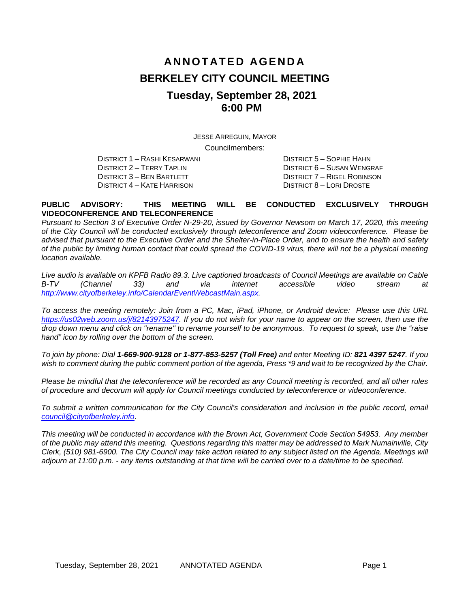# **ANNOTATED AGENDA BERKELEY CITY COUNCIL MEETING Tuesday, September 28, 2021 6:00 PM**

JESSE ARREGUIN, MAYOR Councilmembers:

DISTRICT 1 – RASHI KESARWANI DISTRICT 5 – SOPHIE HAHN DISTRICT 4 – KATE HARRISON

DISTRICT 2 – TERRY TAPLIN DISTRICT 6 – SUSAN WENGRAF DISTRICT 7 – RIGEL ROBINSON<br>DISTRICT 8 – LORI DROSTE

#### **PUBLIC ADVISORY: THIS MEETING WILL BE CONDUCTED EXCLUSIVELY THROUGH VIDEOCONFERENCE AND TELECONFERENCE**

*Pursuant to Section 3 of Executive Order N-29-20, issued by Governor Newsom on March 17, 2020, this meeting of the City Council will be conducted exclusively through teleconference and Zoom videoconference. Please be advised that pursuant to the Executive Order and the Shelter-in-Place Order, and to ensure the health and safety of the public by limiting human contact that could spread the COVID-19 virus, there will not be a physical meeting location available.* 

*Live audio is available on KPFB Radio 89.3. Live captioned broadcasts of Council Meetings are available on Cable B-TV (Channel 33) and via internet accessible video stream at [http://www.cityofberkeley.info/CalendarEventWebcastMain.aspx.](http://www.cityofberkeley.info/CalendarEventWebcastMain.aspx)*

*To access the meeting remotely: Join from a PC, Mac, iPad, iPhone, or Android device: Please use this URL [https://us02web.zoom.us/j/82143975247.](https://us02web.zoom.us/j/82143975247) If you do not wish for your name to appear on the screen, then use the drop down menu and click on "rename" to rename yourself to be anonymous. To request to speak, use the "raise hand" icon by rolling over the bottom of the screen.* 

*To join by phone: Dial 1-669-900-9128 or 1-877-853-5257 (Toll Free) and enter Meeting ID: 821 4397 5247. If you*  wish to comment during the public comment portion of the agenda, Press \*9 and wait to be recognized by the Chair.

*Please be mindful that the teleconference will be recorded as any Council meeting is recorded, and all other rules of procedure and decorum will apply for Council meetings conducted by teleconference or videoconference.*

*To submit a written communication for the City Council's consideration and inclusion in the public record, email [council@cityofberkeley.info.](mailto:council@cityofberkeley.info)*

*This meeting will be conducted in accordance with the Brown Act, Government Code Section 54953. Any member of the public may attend this meeting. Questions regarding this matter may be addressed to Mark Numainville, City Clerk, (510) 981-6900. The City Council may take action related to any subject listed on the Agenda. Meetings will adjourn at 11:00 p.m. - any items outstanding at that time will be carried over to a date/time to be specified.*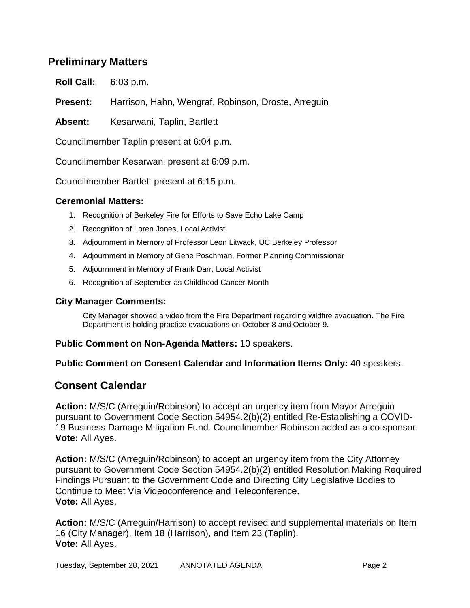### **Preliminary Matters**

**Roll Call:** 6:03 p.m.

**Present:** Harrison, Hahn, Wengraf, Robinson, Droste, Arreguin

Absent: Kesarwani, Taplin, Bartlett

Councilmember Taplin present at 6:04 p.m.

Councilmember Kesarwani present at 6:09 p.m.

Councilmember Bartlett present at 6:15 p.m.

### **Ceremonial Matters:**

- 1. Recognition of Berkeley Fire for Efforts to Save Echo Lake Camp
- 2. Recognition of Loren Jones, Local Activist
- 3. Adjournment in Memory of Professor Leon Litwack, UC Berkeley Professor
- 4. Adjournment in Memory of Gene Poschman, Former Planning Commissioner
- 5. Adjournment in Memory of Frank Darr, Local Activist
- 6. Recognition of September as Childhood Cancer Month

### **City Manager Comments:**

City Manager showed a video from the Fire Department regarding wildfire evacuation. The Fire Department is holding practice evacuations on October 8 and October 9.

### **Public Comment on Non-Agenda Matters:** 10 speakers.

**Public Comment on Consent Calendar and Information Items Only:** 40 speakers.

### **Consent Calendar**

**Action:** M/S/C (Arreguin/Robinson) to accept an urgency item from Mayor Arreguin pursuant to Government Code Section 54954.2(b)(2) entitled Re-Establishing a COVID-19 Business Damage Mitigation Fund. Councilmember Robinson added as a co-sponsor. **Vote:** All Ayes.

**Action:** M/S/C (Arreguin/Robinson) to accept an urgency item from the City Attorney pursuant to Government Code Section 54954.2(b)(2) entitled Resolution Making Required Findings Pursuant to the Government Code and Directing City Legislative Bodies to Continue to Meet Via Videoconference and Teleconference. **Vote:** All Ayes.

**Action:** M/S/C (Arreguin/Harrison) to accept revised and supplemental materials on Item 16 (City Manager), Item 18 (Harrison), and Item 23 (Taplin). **Vote:** All Ayes.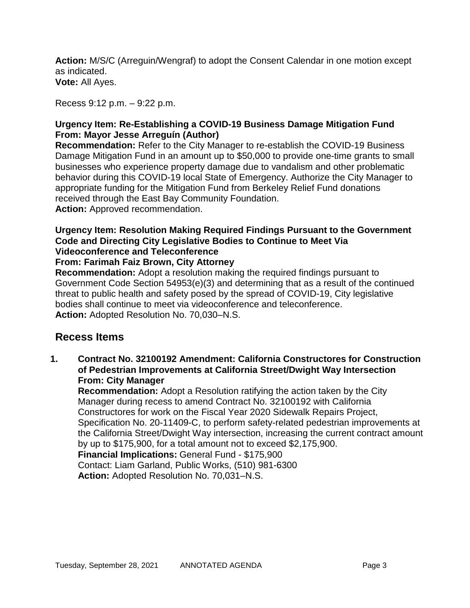**Action:** M/S/C (Arreguin/Wengraf) to adopt the Consent Calendar in one motion except as indicated. **Vote:** All Ayes.

Recess 9:12 p.m. – 9:22 p.m.

### **Urgency Item: Re-Establishing a COVID-19 Business Damage Mitigation Fund From: Mayor Jesse Arreguín (Author)**

**Recommendation:** Refer to the City Manager to re-establish the COVID-19 Business Damage Mitigation Fund in an amount up to \$50,000 to provide one-time grants to small businesses who experience property damage due to vandalism and other problematic behavior during this COVID-19 local State of Emergency. Authorize the City Manager to appropriate funding for the Mitigation Fund from Berkeley Relief Fund donations received through the East Bay Community Foundation. **Action:** Approved recommendation.

### **Urgency Item: Resolution Making Required Findings Pursuant to the Government Code and Directing City Legislative Bodies to Continue to Meet Via Videoconference and Teleconference**

### **From: Farimah Faiz Brown, City Attorney**

**Recommendation:** Adopt a resolution making the required findings pursuant to Government Code Section 54953(e)(3) and determining that as a result of the continued threat to public health and safety posed by the spread of COVID-19, City legislative bodies shall continue to meet via videoconference and teleconference. **Action:** Adopted Resolution No. 70,030–N.S.

### **Recess Items**

**1. Contract No. 32100192 Amendment: California Constructores for Construction of Pedestrian Improvements at California Street/Dwight Way Intersection From: City Manager**

**Recommendation:** Adopt a Resolution ratifying the action taken by the City Manager during recess to amend Contract No. 32100192 with California Constructores for work on the Fiscal Year 2020 Sidewalk Repairs Project, Specification No. 20-11409-C, to perform safety-related pedestrian improvements at the California Street/Dwight Way intersection, increasing the current contract amount by up to \$175,900, for a total amount not to exceed \$2,175,900. **Financial Implications:** General Fund - \$175,900 Contact: Liam Garland, Public Works, (510) 981-6300

**Action:** Adopted Resolution No. 70,031–N.S.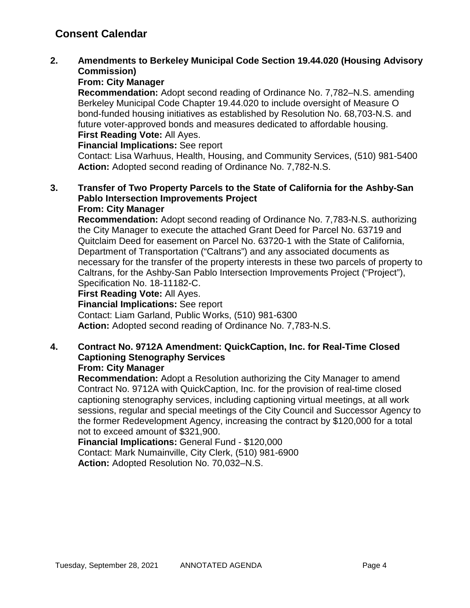### **2. Amendments to Berkeley Municipal Code Section 19.44.020 (Housing Advisory Commission)**

### **From: City Manager**

**Recommendation:** Adopt second reading of Ordinance No. 7,782–N.S. amending Berkeley Municipal Code Chapter 19.44.020 to include oversight of Measure O bond-funded housing initiatives as established by Resolution No. 68,703-N.S. and future voter-approved bonds and measures dedicated to affordable housing. **First Reading Vote:** All Ayes.

**Financial Implications:** See report

Contact: Lisa Warhuus, Health, Housing, and Community Services, (510) 981-5400 **Action:** Adopted second reading of Ordinance No. 7,782-N.S.

#### **3. Transfer of Two Property Parcels to the State of California for the Ashby-San Pablo Intersection Improvements Project From: City Manager**

#### **Recommendation:** Adopt second reading of Ordinance No. 7,783-N.S. authorizing the City Manager to execute the attached Grant Deed for Parcel No. 63719 and Quitclaim Deed for easement on Parcel No. 63720-1 with the State of California, Department of Transportation ("Caltrans") and any associated documents as necessary for the transfer of the property interests in these two parcels of property to Caltrans, for the Ashby-San Pablo Intersection Improvements Project ("Project"), Specification No. 18-11182-C.

### **First Reading Vote:** All Ayes.

**Financial Implications:** See report

Contact: Liam Garland, Public Works, (510) 981-6300 **Action:** Adopted second reading of Ordinance No. 7,783-N.S.

## **4. Contract No. 9712A Amendment: QuickCaption, Inc. for Real-Time Closed Captioning Stenography Services**

### **From: City Manager**

**Recommendation:** Adopt a Resolution authorizing the City Manager to amend Contract No. 9712A with QuickCaption, Inc. for the provision of real-time closed captioning stenography services, including captioning virtual meetings, at all work sessions, regular and special meetings of the City Council and Successor Agency to the former Redevelopment Agency, increasing the contract by \$120,000 for a total not to exceed amount of \$321,900.

**Financial Implications:** General Fund - \$120,000 Contact: Mark Numainville, City Clerk, (510) 981-6900 **Action:** Adopted Resolution No. 70,032–N.S.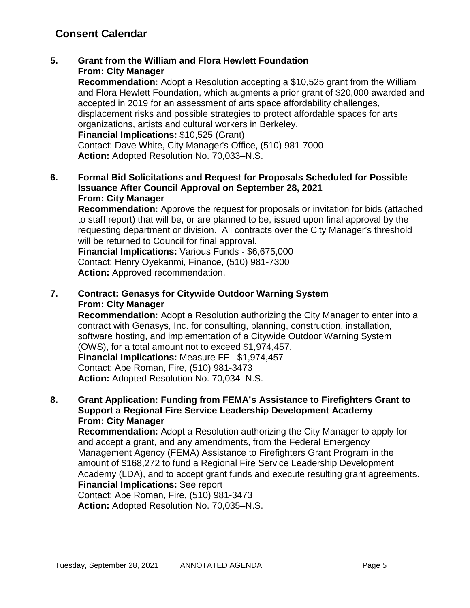**5. Grant from the William and Flora Hewlett Foundation From: City Manager**

**Recommendation:** Adopt a Resolution accepting a \$10,525 grant from the William and Flora Hewlett Foundation, which augments a prior grant of \$20,000 awarded and accepted in 2019 for an assessment of arts space affordability challenges, displacement risks and possible strategies to protect affordable spaces for arts organizations, artists and cultural workers in Berkeley. **Financial Implications:** \$10,525 (Grant) Contact: Dave White, City Manager's Office, (510) 981-7000 **Action:** Adopted Resolution No. 70,033–N.S.

**6. Formal Bid Solicitations and Request for Proposals Scheduled for Possible Issuance After Council Approval on September 28, 2021 From: City Manager**

**Recommendation:** Approve the request for proposals or invitation for bids (attached to staff report) that will be, or are planned to be, issued upon final approval by the requesting department or division. All contracts over the City Manager's threshold will be returned to Council for final approval.

**Financial Implications:** Various Funds - \$6,675,000 Contact: Henry Oyekanmi, Finance, (510) 981-7300 **Action:** Approved recommendation.

### **7. Contract: Genasys for Citywide Outdoor Warning System From: City Manager**

**Recommendation:** Adopt a Resolution authorizing the City Manager to enter into a contract with Genasys, Inc. for consulting, planning, construction, installation, software hosting, and implementation of a Citywide Outdoor Warning System (OWS), for a total amount not to exceed \$1,974,457. **Financial Implications:** Measure FF - \$1,974,457 Contact: Abe Roman, Fire, (510) 981-3473 **Action:** Adopted Resolution No. 70,034–N.S.

### **8. Grant Application: Funding from FEMA's Assistance to Firefighters Grant to Support a Regional Fire Service Leadership Development Academy From: City Manager**

**Recommendation:** Adopt a Resolution authorizing the City Manager to apply for and accept a grant, and any amendments, from the Federal Emergency Management Agency (FEMA) Assistance to Firefighters Grant Program in the amount of \$168,272 to fund a Regional Fire Service Leadership Development Academy (LDA), and to accept grant funds and execute resulting grant agreements. **Financial Implications:** See report Contact: Abe Roman, Fire, (510) 981-3473

**Action:** Adopted Resolution No. 70,035–N.S.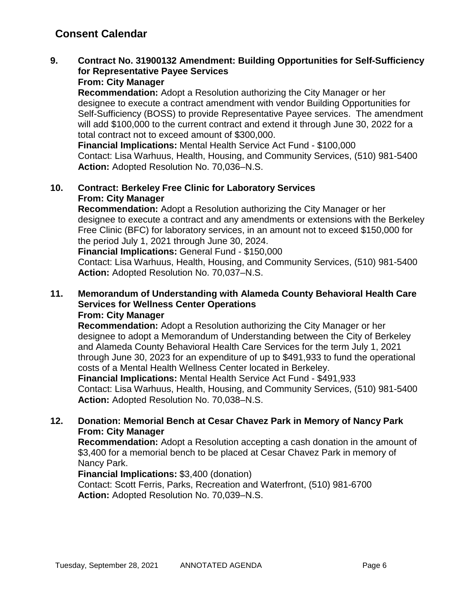### **9. Contract No. 31900132 Amendment: Building Opportunities for Self-Sufficiency for Representative Payee Services**

### **From: City Manager**

**Recommendation:** Adopt a Resolution authorizing the City Manager or her designee to execute a contract amendment with vendor Building Opportunities for Self-Sufficiency (BOSS) to provide Representative Payee services. The amendment will add \$100,000 to the current contract and extend it through June 30, 2022 for a total contract not to exceed amount of \$300,000.

**Financial Implications:** Mental Health Service Act Fund - \$100,000 Contact: Lisa Warhuus, Health, Housing, and Community Services, (510) 981-5400 **Action:** Adopted Resolution No. 70,036–N.S.

### **10. Contract: Berkeley Free Clinic for Laboratory Services From: City Manager**

**Recommendation:** Adopt a Resolution authorizing the City Manager or her designee to execute a contract and any amendments or extensions with the Berkeley Free Clinic (BFC) for laboratory services, in an amount not to exceed \$150,000 for the period July 1, 2021 through June 30, 2024.

**Financial Implications:** General Fund - \$150,000

Contact: Lisa Warhuus, Health, Housing, and Community Services, (510) 981-5400 **Action:** Adopted Resolution No. 70,037–N.S.

### **11. Memorandum of Understanding with Alameda County Behavioral Health Care Services for Wellness Center Operations**

#### **From: City Manager**

**Recommendation:** Adopt a Resolution authorizing the City Manager or her designee to adopt a Memorandum of Understanding between the City of Berkeley and Alameda County Behavioral Health Care Services for the term July 1, 2021 through June 30, 2023 for an expenditure of up to \$491,933 to fund the operational costs of a Mental Health Wellness Center located in Berkeley.

**Financial Implications:** Mental Health Service Act Fund - \$491,933 Contact: Lisa Warhuus, Health, Housing, and Community Services, (510) 981-5400 **Action:** Adopted Resolution No. 70,038–N.S.

### **12. Donation: Memorial Bench at Cesar Chavez Park in Memory of Nancy Park From: City Manager**

**Recommendation:** Adopt a Resolution accepting a cash donation in the amount of \$3,400 for a memorial bench to be placed at Cesar Chavez Park in memory of Nancy Park.

### **Financial Implications:** \$3,400 (donation)

Contact: Scott Ferris, Parks, Recreation and Waterfront, (510) 981-6700 **Action:** Adopted Resolution No. 70,039–N.S.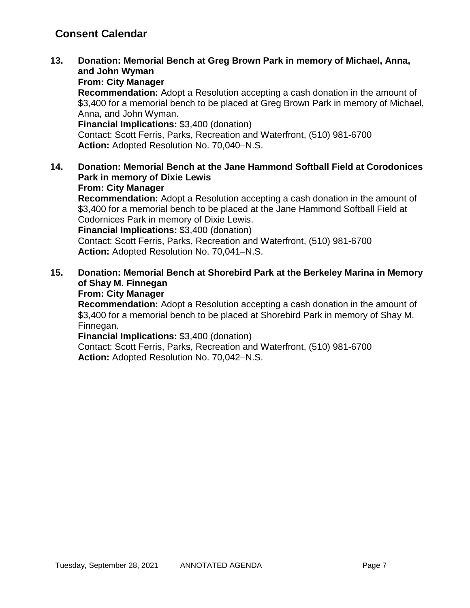**13. Donation: Memorial Bench at Greg Brown Park in memory of Michael, Anna, and John Wyman**

### **From: City Manager**

**Recommendation:** Adopt a Resolution accepting a cash donation in the amount of \$3,400 for a memorial bench to be placed at Greg Brown Park in memory of Michael, Anna, and John Wyman.

**Financial Implications:** \$3,400 (donation)

Contact: Scott Ferris, Parks, Recreation and Waterfront, (510) 981-6700 **Action:** Adopted Resolution No. 70,040–N.S.

### **14. Donation: Memorial Bench at the Jane Hammond Softball Field at Corodonices Park in memory of Dixie Lewis**

#### **From: City Manager**

**Recommendation:** Adopt a Resolution accepting a cash donation in the amount of \$3,400 for a memorial bench to be placed at the Jane Hammond Softball Field at Codornices Park in memory of Dixie Lewis.

**Financial Implications:** \$3,400 (donation)

Contact: Scott Ferris, Parks, Recreation and Waterfront, (510) 981-6700 **Action:** Adopted Resolution No. 70,041–N.S.

### **15. Donation: Memorial Bench at Shorebird Park at the Berkeley Marina in Memory of Shay M. Finnegan**

### **From: City Manager**

**Recommendation:** Adopt a Resolution accepting a cash donation in the amount of \$3,400 for a memorial bench to be placed at Shorebird Park in memory of Shay M. Finnegan.

**Financial Implications:** \$3,400 (donation)

Contact: Scott Ferris, Parks, Recreation and Waterfront, (510) 981-6700 **Action:** Adopted Resolution No. 70,042–N.S.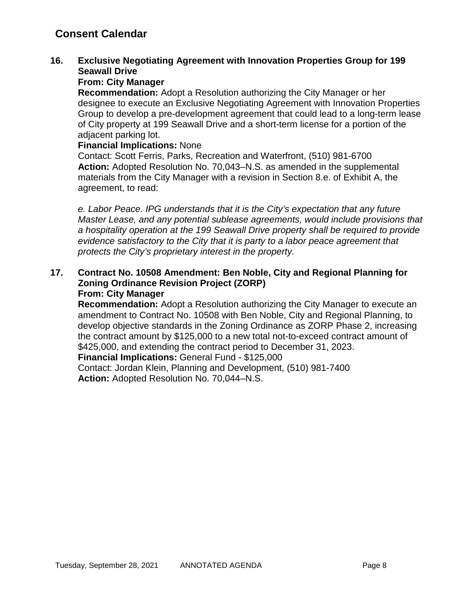### **16. Exclusive Negotiating Agreement with Innovation Properties Group for 199 Seawall Drive**

### **From: City Manager**

**Recommendation:** Adopt a Resolution authorizing the City Manager or her designee to execute an Exclusive Negotiating Agreement with Innovation Properties Group to develop a pre-development agreement that could lead to a long-term lease of City property at 199 Seawall Drive and a short-term license for a portion of the adjacent parking lot.

#### **Financial Implications:** None

Contact: Scott Ferris, Parks, Recreation and Waterfront, (510) 981-6700 **Action:** Adopted Resolution No. 70,043–N.S. as amended in the supplemental materials from the City Manager with a revision in Section 8.e. of Exhibit A, the agreement, to read:

*e. Labor Peace. IPG understands that it is the City's expectation that any future Master Lease, and any potential sublease agreements, would include provisions that a hospitality operation at the 199 Seawall Drive property shall be required to provide evidence satisfactory to the City that it is party to a labor peace agreement that protects the City's proprietary interest in the property.*

#### **17. Contract No. 10508 Amendment: Ben Noble, City and Regional Planning for Zoning Ordinance Revision Project (ZORP) From: City Manager**

**Recommendation:** Adopt a Resolution authorizing the City Manager to execute an amendment to Contract No. 10508 with Ben Noble, City and Regional Planning, to develop objective standards in the Zoning Ordinance as ZORP Phase 2, increasing the contract amount by \$125,000 to a new total not-to-exceed contract amount of \$425,000, and extending the contract period to December 31, 2023.

**Financial Implications:** General Fund - \$125,000

Contact: Jordan Klein, Planning and Development, (510) 981-7400 **Action:** Adopted Resolution No. 70,044–N.S.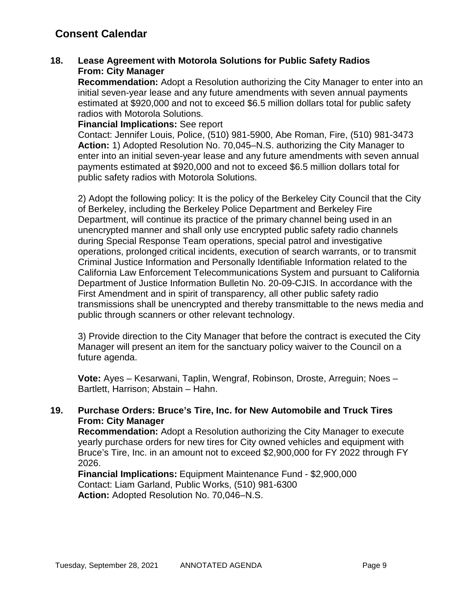### **18. Lease Agreement with Motorola Solutions for Public Safety Radios From: City Manager**

**Recommendation:** Adopt a Resolution authorizing the City Manager to enter into an initial seven-year lease and any future amendments with seven annual payments estimated at \$920,000 and not to exceed \$6.5 million dollars total for public safety radios with Motorola Solutions.

**Financial Implications:** See report

Contact: Jennifer Louis, Police, (510) 981-5900, Abe Roman, Fire, (510) 981-3473 **Action:** 1) Adopted Resolution No. 70,045–N.S. authorizing the City Manager to enter into an initial seven-year lease and any future amendments with seven annual payments estimated at \$920,000 and not to exceed \$6.5 million dollars total for public safety radios with Motorola Solutions.

2) Adopt the following policy: It is the policy of the Berkeley City Council that the City of Berkeley, including the Berkeley Police Department and Berkeley Fire Department, will continue its practice of the primary channel being used in an unencrypted manner and shall only use encrypted public safety radio channels during Special Response Team operations, special patrol and investigative operations, prolonged critical incidents, execution of search warrants, or to transmit Criminal Justice Information and Personally Identifiable Information related to the California Law Enforcement Telecommunications System and pursuant to California Department of Justice Information Bulletin No. 20-09-CJIS. In accordance with the First Amendment and in spirit of transparency, all other public safety radio transmissions shall be unencrypted and thereby transmittable to the news media and public through scanners or other relevant technology.

3) Provide direction to the City Manager that before the contract is executed the City Manager will present an item for the sanctuary policy waiver to the Council on a future agenda.

**Vote:** Ayes – Kesarwani, Taplin, Wengraf, Robinson, Droste, Arreguin; Noes – Bartlett, Harrison; Abstain – Hahn.

### **19. Purchase Orders: Bruce's Tire, Inc. for New Automobile and Truck Tires From: City Manager**

**Recommendation:** Adopt a Resolution authorizing the City Manager to execute yearly purchase orders for new tires for City owned vehicles and equipment with Bruce's Tire, Inc. in an amount not to exceed \$2,900,000 for FY 2022 through FY 2026.

**Financial Implications:** Equipment Maintenance Fund - \$2,900,000 Contact: Liam Garland, Public Works, (510) 981-6300 **Action:** Adopted Resolution No. 70,046–N.S.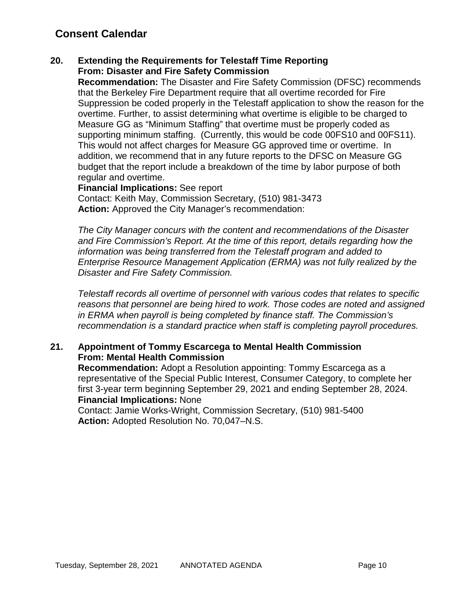### **20. Extending the Requirements for Telestaff Time Reporting From: Disaster and Fire Safety Commission**

**Recommendation:** The Disaster and Fire Safety Commission (DFSC) recommends that the Berkeley Fire Department require that all overtime recorded for Fire Suppression be coded properly in the Telestaff application to show the reason for the overtime. Further, to assist determining what overtime is eligible to be charged to Measure GG as "Minimum Staffing" that overtime must be properly coded as supporting minimum staffing. (Currently, this would be code 00FS10 and 00FS11). This would not affect charges for Measure GG approved time or overtime. In addition, we recommend that in any future reports to the DFSC on Measure GG budget that the report include a breakdown of the time by labor purpose of both regular and overtime.

**Financial Implications:** See report Contact: Keith May, Commission Secretary, (510) 981-3473 **Action:** Approved the City Manager's recommendation:

*The City Manager concurs with the content and recommendations of the Disaster and Fire Commission's Report. At the time of this report, details regarding how the information was being transferred from the Telestaff program and added to Enterprise Resource Management Application (ERMA) was not fully realized by the Disaster and Fire Safety Commission.* 

*Telestaff records all overtime of personnel with various codes that relates to specific reasons that personnel are being hired to work. Those codes are noted and assigned in ERMA when payroll is being completed by finance staff. The Commission's recommendation is a standard practice when staff is completing payroll procedures.*

### **21. Appointment of Tommy Escarcega to Mental Health Commission From: Mental Health Commission**

**Recommendation:** Adopt a Resolution appointing: Tommy Escarcega as a representative of the Special Public Interest, Consumer Category, to complete her first 3-year term beginning September 29, 2021 and ending September 28, 2024. **Financial Implications:** None

Contact: Jamie Works-Wright, Commission Secretary, (510) 981-5400 **Action:** Adopted Resolution No. 70,047–N.S.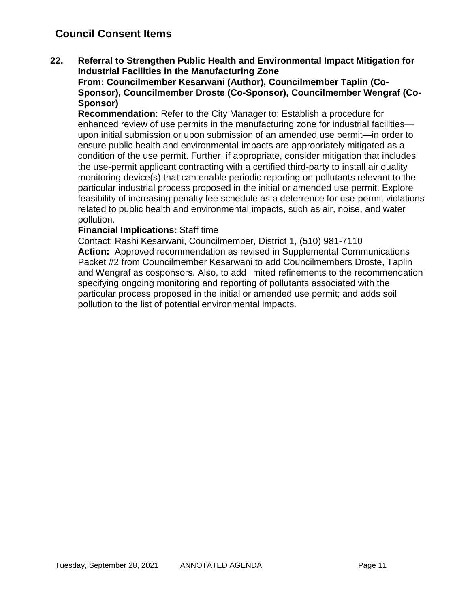### **Council Consent Items**

**22. Referral to Strengthen Public Health and Environmental Impact Mitigation for Industrial Facilities in the Manufacturing Zone**

**From: Councilmember Kesarwani (Author), Councilmember Taplin (Co-Sponsor), Councilmember Droste (Co-Sponsor), Councilmember Wengraf (Co-Sponsor)**

**Recommendation:** Refer to the City Manager to: Establish a procedure for enhanced review of use permits in the manufacturing zone for industrial facilities upon initial submission or upon submission of an amended use permit—in order to ensure public health and environmental impacts are appropriately mitigated as a condition of the use permit. Further, if appropriate, consider mitigation that includes the use-permit applicant contracting with a certified third-party to install air quality monitoring device(s) that can enable periodic reporting on pollutants relevant to the particular industrial process proposed in the initial or amended use permit. Explore feasibility of increasing penalty fee schedule as a deterrence for use-permit violations related to public health and environmental impacts, such as air, noise, and water pollution.

#### **Financial Implications:** Staff time

Contact: Rashi Kesarwani, Councilmember, District 1, (510) 981-7110 **Action:** Approved recommendation as revised in Supplemental Communications Packet #2 from Councilmember Kesarwani to add Councilmembers Droste, Taplin and Wengraf as cosponsors. Also, to add limited refinements to the recommendation specifying ongoing monitoring and reporting of pollutants associated with the particular process proposed in the initial or amended use permit; and adds soil pollution to the list of potential environmental impacts.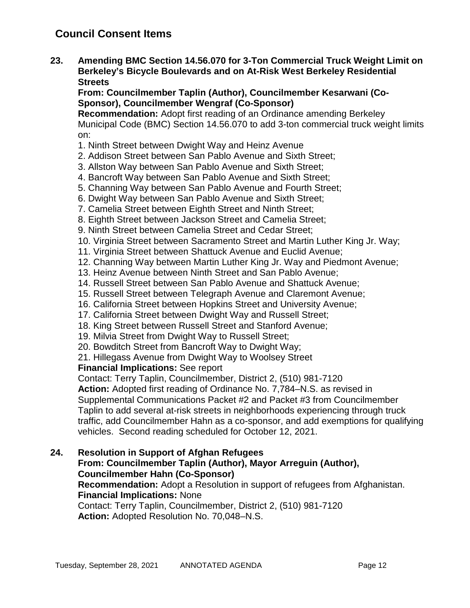**23. Amending BMC Section 14.56.070 for 3-Ton Commercial Truck Weight Limit on Berkeley's Bicycle Boulevards and on At-Risk West Berkeley Residential Streets**

**From: Councilmember Taplin (Author), Councilmember Kesarwani (Co-Sponsor), Councilmember Wengraf (Co-Sponsor)**

**Recommendation:** Adopt first reading of an Ordinance amending Berkeley Municipal Code (BMC) Section 14.56.070 to add 3-ton commercial truck weight limits on:

- 1. Ninth Street between Dwight Way and Heinz Avenue
- 2. Addison Street between San Pablo Avenue and Sixth Street;
- 3. Allston Way between San Pablo Avenue and Sixth Street;
- 4. Bancroft Way between San Pablo Avenue and Sixth Street;
- 5. Channing Way between San Pablo Avenue and Fourth Street;
- 6. Dwight Way between San Pablo Avenue and Sixth Street;
- 7. Camelia Street between Eighth Street and Ninth Street;
- 8. Eighth Street between Jackson Street and Camelia Street;
- 9. Ninth Street between Camelia Street and Cedar Street;
- 10. Virginia Street between Sacramento Street and Martin Luther King Jr. Way;
- 11. Virginia Street between Shattuck Avenue and Euclid Avenue;
- 12. Channing Way between Martin Luther King Jr. Way and Piedmont Avenue;
- 13. Heinz Avenue between Ninth Street and San Pablo Avenue;
- 14. Russell Street between San Pablo Avenue and Shattuck Avenue;
- 15. Russell Street between Telegraph Avenue and Claremont Avenue;
- 16. California Street between Hopkins Street and University Avenue;
- 17. California Street between Dwight Way and Russell Street;
- 18. King Street between Russell Street and Stanford Avenue;
- 19. Milvia Street from Dwight Way to Russell Street;
- 20. Bowditch Street from Bancroft Way to Dwight Way;
- 21. Hillegass Avenue from Dwight Way to Woolsey Street

### **Financial Implications:** See report

Contact: Terry Taplin, Councilmember, District 2, (510) 981-7120

**Action:** Adopted first reading of Ordinance No. 7,784–N.S. as revised in Supplemental Communications Packet #2 and Packet #3 from Councilmember Taplin to add several at-risk streets in neighborhoods experiencing through truck traffic, add Councilmember Hahn as a co-sponsor, and add exemptions for qualifying vehicles. Second reading scheduled for October 12, 2021.

### **24. Resolution in Support of Afghan Refugees**

### **From: Councilmember Taplin (Author), Mayor Arreguin (Author), Councilmember Hahn (Co-Sponsor)**

### **Recommendation:** Adopt a Resolution in support of refugees from Afghanistan. **Financial Implications:** None

Contact: Terry Taplin, Councilmember, District 2, (510) 981-7120 **Action:** Adopted Resolution No. 70,048–N.S.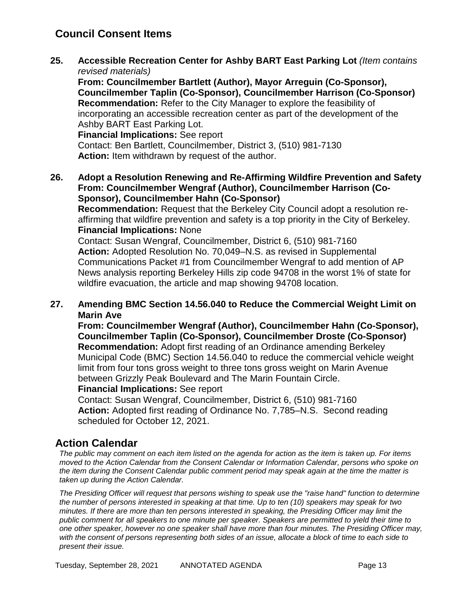### **Council Consent Items**

**25. Accessible Recreation Center for Ashby BART East Parking Lot** *(Item contains revised materials)*

**From: Councilmember Bartlett (Author), Mayor Arreguin (Co-Sponsor), Councilmember Taplin (Co-Sponsor), Councilmember Harrison (Co-Sponsor) Recommendation:** Refer to the City Manager to explore the feasibility of incorporating an accessible recreation center as part of the development of the Ashby BART East Parking Lot.

**Financial Implications:** See report Contact: Ben Bartlett, Councilmember, District 3, (510) 981-7130 **Action:** Item withdrawn by request of the author.

**26. Adopt a Resolution Renewing and Re-Affirming Wildfire Prevention and Safety From: Councilmember Wengraf (Author), Councilmember Harrison (Co-Sponsor), Councilmember Hahn (Co-Sponsor)**

**Recommendation:** Request that the Berkeley City Council adopt a resolution reaffirming that wildfire prevention and safety is a top priority in the City of Berkeley. **Financial Implications:** None

Contact: Susan Wengraf, Councilmember, District 6, (510) 981-7160 **Action:** Adopted Resolution No. 70,049–N.S. as revised in Supplemental Communications Packet #1 from Councilmember Wengraf to add mention of AP News analysis reporting Berkeley Hills zip code 94708 in the worst 1% of state for wildfire evacuation, the article and map showing 94708 location.

### **27. Amending BMC Section 14.56.040 to Reduce the Commercial Weight Limit on Marin Ave**

**From: Councilmember Wengraf (Author), Councilmember Hahn (Co-Sponsor), Councilmember Taplin (Co-Sponsor), Councilmember Droste (Co-Sponsor) Recommendation:** Adopt first reading of an Ordinance amending Berkeley Municipal Code (BMC) Section 14.56.040 to reduce the commercial vehicle weight limit from four tons gross weight to three tons gross weight on Marin Avenue between Grizzly Peak Boulevard and The Marin Fountain Circle. **Financial Implications:** See report

Contact: Susan Wengraf, Councilmember, District 6, (510) 981-7160 **Action:** Adopted first reading of Ordinance No. 7,785–N.S. Second reading scheduled for October 12, 2021.

### **Action Calendar**

*The public may comment on each item listed on the agenda for action as the item is taken up. For items moved to the Action Calendar from the Consent Calendar or Information Calendar, persons who spoke on the item during the Consent Calendar public comment period may speak again at the time the matter is taken up during the Action Calendar.*

*The Presiding Officer will request that persons wishing to speak use the "raise hand" function to determine the number of persons interested in speaking at that time. Up to ten (10) speakers may speak for two minutes. If there are more than ten persons interested in speaking, the Presiding Officer may limit the public comment for all speakers to one minute per speaker. Speakers are permitted to yield their time to one other speaker, however no one speaker shall have more than four minutes. The Presiding Officer may, with the consent of persons representing both sides of an issue, allocate a block of time to each side to present their issue.*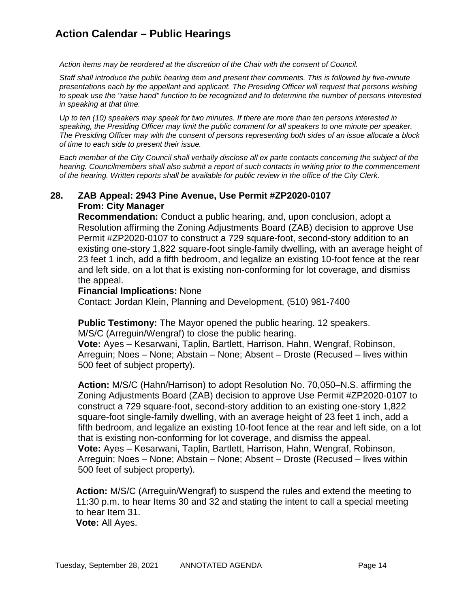### **Action Calendar – Public Hearings**

*Action items may be reordered at the discretion of the Chair with the consent of Council.*

*Staff shall introduce the public hearing item and present their comments. This is followed by five-minute presentations each by the appellant and applicant. The Presiding Officer will request that persons wishing to speak use the "raise hand" function to be recognized and to determine the number of persons interested in speaking at that time.*

*Up to ten (10) speakers may speak for two minutes. If there are more than ten persons interested in speaking, the Presiding Officer may limit the public comment for all speakers to one minute per speaker. The Presiding Officer may with the consent of persons representing both sides of an issue allocate a block of time to each side to present their issue.*

*Each member of the City Council shall verbally disclose all ex parte contacts concerning the subject of the hearing. Councilmembers shall also submit a report of such contacts in writing prior to the commencement of the hearing. Written reports shall be available for public review in the office of the City Clerk.*

### **28. ZAB Appeal: 2943 Pine Avenue, Use Permit #ZP2020-0107 From: City Manager**

**Recommendation:** Conduct a public hearing, and, upon conclusion, adopt a Resolution affirming the Zoning Adjustments Board (ZAB) decision to approve Use Permit #ZP2020-0107 to construct a 729 square-foot, second-story addition to an existing one-story 1,822 square-foot single-family dwelling, with an average height of 23 feet 1 inch, add a fifth bedroom, and legalize an existing 10-foot fence at the rear and left side, on a lot that is existing non-conforming for lot coverage, and dismiss the appeal.

#### **Financial Implications:** None

Contact: Jordan Klein, Planning and Development, (510) 981-7400

**Public Testimony:** The Mayor opened the public hearing. 12 speakers.

M/S/C (Arreguin/Wengraf) to close the public hearing.

**Vote:** Ayes – Kesarwani, Taplin, Bartlett, Harrison, Hahn, Wengraf, Robinson, Arreguin; Noes – None; Abstain – None; Absent – Droste (Recused – lives within 500 feet of subject property).

**Action:** M/S/C (Hahn/Harrison) to adopt Resolution No. 70,050–N.S. affirming the Zoning Adjustments Board (ZAB) decision to approve Use Permit #ZP2020-0107 to construct a 729 square-foot, second-story addition to an existing one-story 1,822 square-foot single-family dwelling, with an average height of 23 feet 1 inch, add a fifth bedroom, and legalize an existing 10-foot fence at the rear and left side, on a lot that is existing non-conforming for lot coverage, and dismiss the appeal. **Vote:** Ayes – Kesarwani, Taplin, Bartlett, Harrison, Hahn, Wengraf, Robinson, Arreguin; Noes – None; Abstain – None; Absent – Droste (Recused – lives within 500 feet of subject property).

**Action:** M/S/C (Arreguin/Wengraf) to suspend the rules and extend the meeting to 11:30 p.m. to hear Items 30 and 32 and stating the intent to call a special meeting to hear Item 31. **Vote:** All Ayes.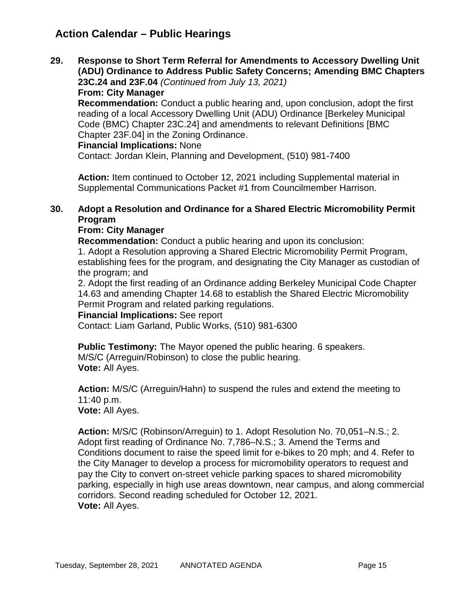### **Action Calendar – Public Hearings**

**29. Response to Short Term Referral for Amendments to Accessory Dwelling Unit (ADU) Ordinance to Address Public Safety Concerns; Amending BMC Chapters 23C.24 and 23F.04** *(Continued from July 13, 2021)*

**From: City Manager**

**Recommendation:** Conduct a public hearing and, upon conclusion, adopt the first reading of a local Accessory Dwelling Unit (ADU) Ordinance [Berkeley Municipal Code (BMC) Chapter 23C.24] and amendments to relevant Definitions [BMC Chapter 23F.04] in the Zoning Ordinance.

#### **Financial Implications:** None

Contact: Jordan Klein, Planning and Development, (510) 981-7400

Action: Item continued to October 12, 2021 including Supplemental material in Supplemental Communications Packet #1 from Councilmember Harrison.

### **30. Adopt a Resolution and Ordinance for a Shared Electric Micromobility Permit Program**

### **From: City Manager**

**Recommendation:** Conduct a public hearing and upon its conclusion: 1. Adopt a Resolution approving a Shared Electric Micromobility Permit Program,

establishing fees for the program, and designating the City Manager as custodian of the program; and

2. Adopt the first reading of an Ordinance adding Berkeley Municipal Code Chapter 14.63 and amending Chapter 14.68 to establish the Shared Electric Micromobility Permit Program and related parking regulations.

### **Financial Implications:** See report

Contact: Liam Garland, Public Works, (510) 981-6300

**Public Testimony:** The Mayor opened the public hearing. 6 speakers. M/S/C (Arreguin/Robinson) to close the public hearing. **Vote:** All Ayes.

**Action:** M/S/C (Arreguin/Hahn) to suspend the rules and extend the meeting to 11:40 p.m.

**Vote:** All Ayes.

**Action:** M/S/C (Robinson/Arreguin) to 1. Adopt Resolution No. 70,051–N.S.; 2. Adopt first reading of Ordinance No. 7,786–N.S.; 3. Amend the Terms and Conditions document to raise the speed limit for e-bikes to 20 mph; and 4. Refer to the City Manager to develop a process for micromobility operators to request and pay the City to convert on-street vehicle parking spaces to shared micromobility parking, especially in high use areas downtown, near campus, and along commercial corridors. Second reading scheduled for October 12, 2021. **Vote:** All Ayes.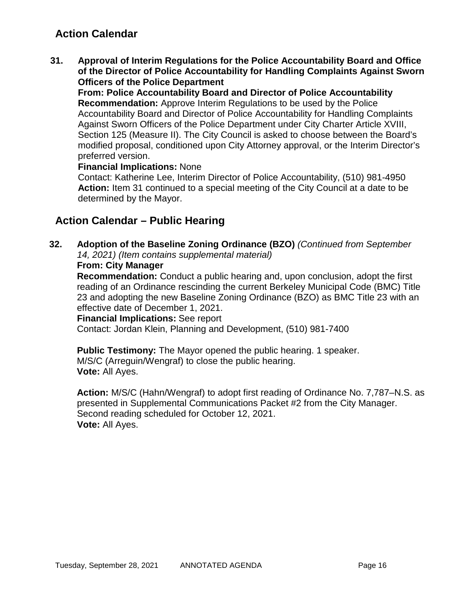### **Action Calendar**

**31. Approval of Interim Regulations for the Police Accountability Board and Office of the Director of Police Accountability for Handling Complaints Against Sworn Officers of the Police Department**

**From: Police Accountability Board and Director of Police Accountability Recommendation:** Approve Interim Regulations to be used by the Police Accountability Board and Director of Police Accountability for Handling Complaints Against Sworn Officers of the Police Department under City Charter Article XVIII, Section 125 (Measure II). The City Council is asked to choose between the Board's modified proposal, conditioned upon City Attorney approval, or the Interim Director's preferred version.

### **Financial Implications:** None

Contact: Katherine Lee, Interim Director of Police Accountability, (510) 981-4950 **Action:** Item 31 continued to a special meeting of the City Council at a date to be determined by the Mayor.

### **Action Calendar – Public Hearing**

**32. Adoption of the Baseline Zoning Ordinance (BZO)** *(Continued from September 14, 2021) (Item contains supplemental material)*

### **From: City Manager**

**Recommendation:** Conduct a public hearing and, upon conclusion, adopt the first reading of an Ordinance rescinding the current Berkeley Municipal Code (BMC) Title 23 and adopting the new Baseline Zoning Ordinance (BZO) as BMC Title 23 with an effective date of December 1, 2021.

**Financial Implications:** See report

Contact: Jordan Klein, Planning and Development, (510) 981-7400

**Public Testimony:** The Mayor opened the public hearing. 1 speaker. M/S/C (Arreguin/Wengraf) to close the public hearing. **Vote:** All Ayes.

**Action:** M/S/C (Hahn/Wengraf) to adopt first reading of Ordinance No. 7,787–N.S. as presented in Supplemental Communications Packet #2 from the City Manager. Second reading scheduled for October 12, 2021. **Vote:** All Ayes.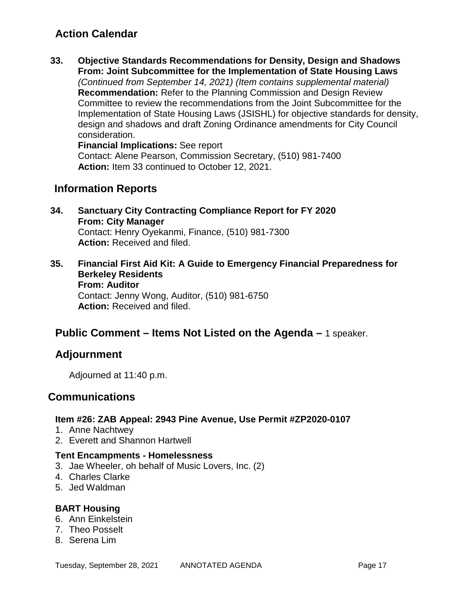### **Action Calendar**

**33. Objective Standards Recommendations for Density, Design and Shadows From: Joint Subcommittee for the Implementation of State Housing Laws** *(Continued from September 14, 2021) (Item contains supplemental material)* **Recommendation:** Refer to the Planning Commission and Design Review Committee to review the recommendations from the Joint Subcommittee for the Implementation of State Housing Laws (JSISHL) for objective standards for density, design and shadows and draft Zoning Ordinance amendments for City Council consideration.

**Financial Implications:** See report Contact: Alene Pearson, Commission Secretary, (510) 981-7400 **Action:** Item 33 continued to October 12, 2021.

### **Information Reports**

- **34. Sanctuary City Contracting Compliance Report for FY 2020 From: City Manager** Contact: Henry Oyekanmi, Finance, (510) 981-7300 **Action:** Received and filed.
- **35. Financial First Aid Kit: A Guide to Emergency Financial Preparedness for Berkeley Residents From: Auditor** Contact: Jenny Wong, Auditor, (510) 981-6750 **Action:** Received and filed.

### **Public Comment – Items Not Listed on the Agenda –** 1 speaker.

### **Adjournment**

Adjourned at 11:40 p.m.

### **Communications**

### **Item #26: ZAB Appeal: 2943 Pine Avenue, Use Permit #ZP2020-0107**

- 1. Anne Nachtwey
- 2. Everett and Shannon Hartwell

### **Tent Encampments - Homelessness**

- 3. Jae Wheeler, oh behalf of Music Lovers, Inc. (2)
- 4. Charles Clarke
- 5. Jed Waldman

### **BART Housing**

- 6. Ann Einkelstein
- 7. Theo Posselt
- 8. Serena Lim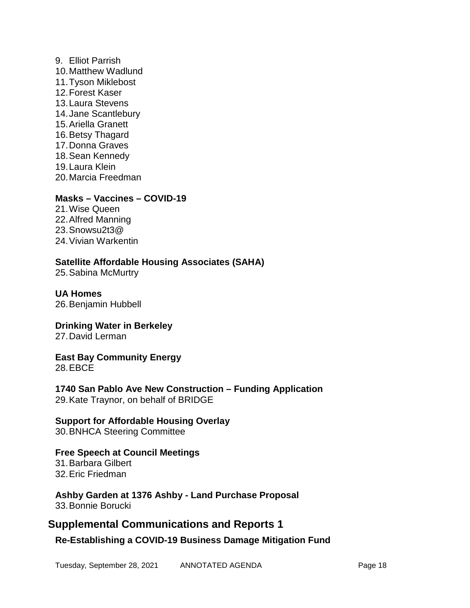9. Elliot Parrish 10.Matthew Wadlund 11.Tyson Miklebost 12.Forest Kaser 13.Laura Stevens 14.Jane Scantlebury 15.Ariella Granett 16.Betsy Thagard 17.Donna Graves 18.Sean Kennedy 19.Laura Klein 20.Marcia Freedman

#### **Masks – Vaccines – COVID-19**

21.Wise Queen 22.Alfred Manning 23.Snowsu2t3@ 24.Vivian Warkentin

### **Satellite Affordable Housing Associates (SAHA)**

25.Sabina McMurtry

**UA Homes** 26.Benjamin Hubbell

**Drinking Water in Berkeley** 27.David Lerman

**East Bay Community Energy** 28.EBCE

**1740 San Pablo Ave New Construction – Funding Application** 29.Kate Traynor, on behalf of BRIDGE

# **Support for Affordable Housing Overlay**

30.BNHCA Steering Committee

### **Free Speech at Council Meetings**

31.Barbara Gilbert 32.Eric Friedman

**Ashby Garden at 1376 Ashby - Land Purchase Proposal** 33.Bonnie Borucki

### **Supplemental Communications and Reports 1**

**Re-Establishing a COVID-19 Business Damage Mitigation Fund**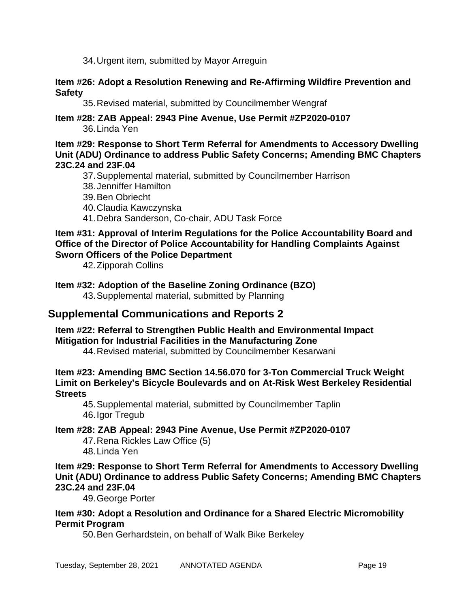34.Urgent item, submitted by Mayor Arreguin

#### **Item #26: Adopt a Resolution Renewing and Re-Affirming Wildfire Prevention and Safety**

35.Revised material, submitted by Councilmember Wengraf

**Item #28: ZAB Appeal: 2943 Pine Avenue, Use Permit #ZP2020-0107** 36.Linda Yen

#### **Item #29: Response to Short Term Referral for Amendments to Accessory Dwelling Unit (ADU) Ordinance to address Public Safety Concerns; Amending BMC Chapters 23C.24 and 23F.04**

- 37.Supplemental material, submitted by Councilmember Harrison
- 38.Jenniffer Hamilton
- 39.Ben Obriecht
- 40.Claudia Kawczynska
- 41.Debra Sanderson, Co-chair, ADU Task Force

### **Item #31: Approval of Interim Regulations for the Police Accountability Board and Office of the Director of Police Accountability for Handling Complaints Against Sworn Officers of the Police Department**

42.Zipporah Collins

### **Item #32: Adoption of the Baseline Zoning Ordinance (BZO)**

43.Supplemental material, submitted by Planning

### **Supplemental Communications and Reports 2**

#### **Item #22: Referral to Strengthen Public Health and Environmental Impact Mitigation for Industrial Facilities in the Manufacturing Zone**

44.Revised material, submitted by Councilmember Kesarwani

### **Item #23: Amending BMC Section 14.56.070 for 3-Ton Commercial Truck Weight Limit on Berkeley's Bicycle Boulevards and on At-Risk West Berkeley Residential Streets**

45.Supplemental material, submitted by Councilmember Taplin 46.Igor Tregub

### **Item #28: ZAB Appeal: 2943 Pine Avenue, Use Permit #ZP2020-0107**

47.Rena Rickles Law Office (5)

48.Linda Yen

**Item #29: Response to Short Term Referral for Amendments to Accessory Dwelling Unit (ADU) Ordinance to address Public Safety Concerns; Amending BMC Chapters 23C.24 and 23F.04**

49.George Porter

### **Item #30: Adopt a Resolution and Ordinance for a Shared Electric Micromobility Permit Program**

50.Ben Gerhardstein, on behalf of Walk Bike Berkeley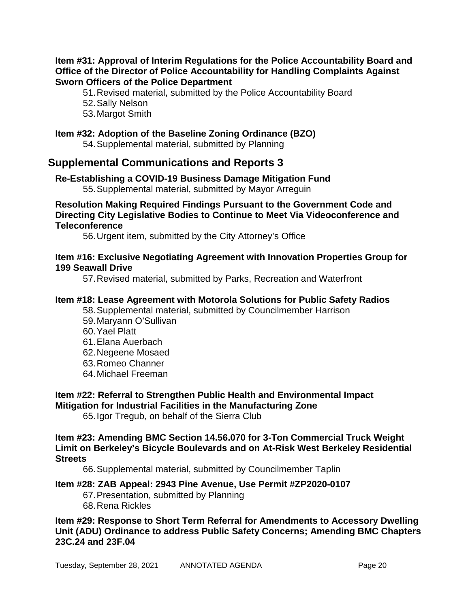#### **Item #31: Approval of Interim Regulations for the Police Accountability Board and Office of the Director of Police Accountability for Handling Complaints Against Sworn Officers of the Police Department**

51.Revised material, submitted by the Police Accountability Board

- 52.Sally Nelson
- 53.Margot Smith

### **Item #32: Adoption of the Baseline Zoning Ordinance (BZO)**

54.Supplemental material, submitted by Planning

### **Supplemental Communications and Reports 3**

### **Re-Establishing a COVID-19 Business Damage Mitigation Fund**

55.Supplemental material, submitted by Mayor Arreguin

### **Resolution Making Required Findings Pursuant to the Government Code and Directing City Legislative Bodies to Continue to Meet Via Videoconference and Teleconference**

56.Urgent item, submitted by the City Attorney's Office

### **Item #16: Exclusive Negotiating Agreement with Innovation Properties Group for 199 Seawall Drive**

57.Revised material, submitted by Parks, Recreation and Waterfront

### **Item #18: Lease Agreement with Motorola Solutions for Public Safety Radios**

58.Supplemental material, submitted by Councilmember Harrison

- 59.Maryann O'Sullivan
- 60.Yael Platt
- 61.Elana Auerbach
- 62.Negeene Mosaed
- 63.Romeo Channer
- 64.Michael Freeman

#### **Item #22: Referral to Strengthen Public Health and Environmental Impact Mitigation for Industrial Facilities in the Manufacturing Zone**

65.Igor Tregub, on behalf of the Sierra Club

### **Item #23: Amending BMC Section 14.56.070 for 3-Ton Commercial Truck Weight Limit on Berkeley's Bicycle Boulevards and on At-Risk West Berkeley Residential Streets**

66.Supplemental material, submitted by Councilmember Taplin

### **Item #28: ZAB Appeal: 2943 Pine Avenue, Use Permit #ZP2020-0107**

- 67.Presentation, submitted by Planning
- 68.Rena Rickles

### **Item #29: Response to Short Term Referral for Amendments to Accessory Dwelling Unit (ADU) Ordinance to address Public Safety Concerns; Amending BMC Chapters 23C.24 and 23F.04**